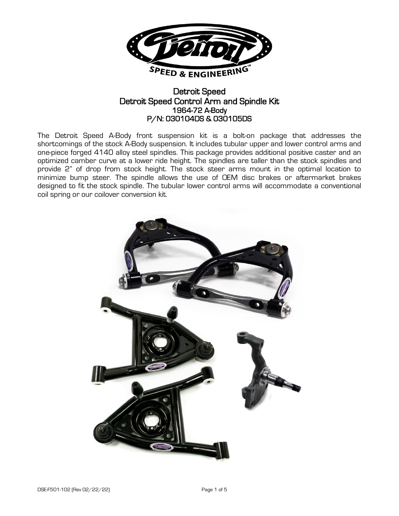

## Detroit Speed Detroit Speed Control Arm and Spindle Kit 1964-72 A-Body P/N: 030104DS & 030105DS

The Detroit Speed A-Body front suspension kit is a bolt-on package that addresses the shortcomings of the stock A-Body suspension. It includes tubular upper and lower control arms and one-piece forged 4140 alloy steel spindles. This package provides additional positive caster and an optimized camber curve at a lower ride height. The spindles are taller than the stock spindles and provide 2" of drop from stock height. The stock steer arms mount in the optimal location to minimize bump steer. The spindle allows the use of OEM disc brakes or aftermarket brakes designed to fit the stock spindle. The tubular lower control arms will accommodate a conventional coil spring or our coilover conversion kit.

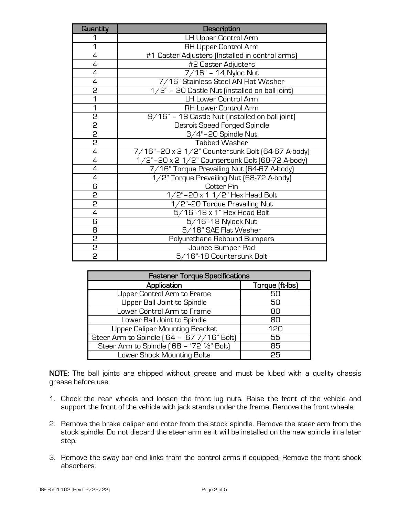| <b>Quantity</b>         | <b>Description</b>                                     |
|-------------------------|--------------------------------------------------------|
| 1                       | LH Upper Control Arm                                   |
| 1                       | RH Upper Control Arm                                   |
| 4                       | #1 Caster Adjusters [Installed in control arms]        |
| $\overline{4}$          | #2 Caster Adjusters                                    |
| 4                       | 7/16" - 14 Nyloc Nut                                   |
| $\overline{4}$          | 16" Stainless Steel AN Flat Washer<br>77               |
| 2                       | $1/2"$ - 20 Castle Nut (installed on ball joint)       |
| $\overline{1}$          | <b>LH Lower Control Arm</b>                            |
| $\overline{1}$          | <b>RH Lower Control Arm</b>                            |
| Ŋ                       | 9/16" - 18 Castle Nut (installed on ball joint)        |
| $\overline{c}$          | Detroit Speed Forged Spindle                           |
| $\overline{c}$          | 3/4"-20 Spindle Nut                                    |
| $\overline{c}$          | <b>Tabbed Washer</b>                                   |
| $\overline{4}$          | 7/16"-20 x 2 1/2" Countersunk Bolt [64-67 A-body]      |
| $\overline{4}$          | $1/2$ "-20 x 2 $1/2$ " Countersunk Bolt (68-72 A-body) |
| 4                       | 7/16" Torque Prevailing Nut [64-67 A-body]             |
| $\overline{4}$          | 1/2" Torque Prevailing Nut [68-72 A-body]              |
| $\overline{6}$          | Cotter Pin                                             |
| $\overline{c}$          | $1/2$ "-20 x 1 $1/2$ " Hex Head Bolt                   |
| $\overline{c}$          | 1/2"–20 Torque Prevailing Nut                          |
| $\overline{4}$          | 5/16"-18 x 1" Hex Head Bolt                            |
| 6                       | 5/16"-18 Nylock Nut                                    |
| $\overline{\mathbf{g}}$ | 5/16" SAE Flat Washer                                  |
| $\overline{c}$          | Polyurethane Rebound Bumpers                           |
| $\overline{c}$          | Jounce Bumper Pad                                      |
| 5                       | 5/16"-18 Countersunk Bolt                              |

| <b>Fastener Torque Specifications</b>       |                 |  |  |
|---------------------------------------------|-----------------|--|--|
| Application                                 | Torque (ft-lbs) |  |  |
| Upper Control Arm to Frame                  | 50              |  |  |
| Upper Ball Joint to Spindle                 | 50              |  |  |
| Lower Control Arm to Frame                  | 80              |  |  |
| Lower Ball Joint to Spindle                 | 80              |  |  |
| Upper Caliper Mounting Bracket              | 120             |  |  |
| Steer Arm to Spindle ['64 - '67 7/16" Bolt] | 55              |  |  |
| Steer Arm to Spindle ['68 - '72 1/2" Bolt]  | 85              |  |  |
| Lower Shock Mounting Bolts                  | 25              |  |  |

NOTE: The ball joints are shipped without grease and must be lubed with a quality chassis grease before use.

- 1. Chock the rear wheels and loosen the front lug nuts. Raise the front of the vehicle and support the front of the vehicle with jack stands under the frame. Remove the front wheels.
- 2. Remove the brake caliper and rotor from the stock spindle. Remove the steer arm from the stock spindle. Do not discard the steer arm as it will be installed on the new spindle in a later step.
- 3. Remove the sway bar end links from the control arms if equipped. Remove the front shock absorbers.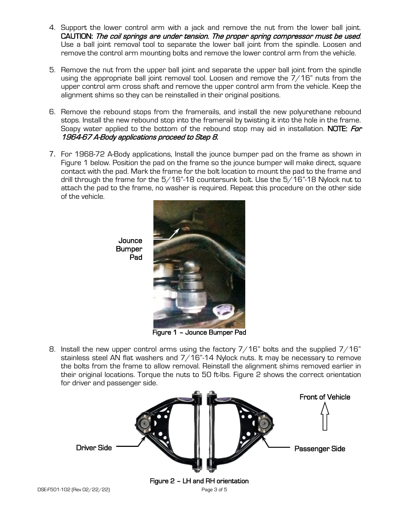- 4. Support the lower control arm with a jack and remove the nut from the lower ball joint. CAUTION: The coil springs are under tension. The proper spring compressor must be used. Use a ball joint removal tool to separate the lower ball joint from the spindle. Loosen and remove the control arm mounting bolts and remove the lower control arm from the vehicle.
- 5. Remove the nut from the upper ball joint and separate the upper ball joint from the spindle using the appropriate ball joint removal tool. Loosen and remove the 7/16" nuts from the upper control arm cross shaft and remove the upper control arm from the vehicle. Keep the alignment shims so they can be reinstalled in their original positions.
- 6. Remove the rebound stops from the framerails, and install the new polyurethane rebound stops. Install the new rebound stop into the framerail by twisting it into the hole in the frame. Soapy water applied to the bottom of the rebound stop may aid in installation. NOTE: For 1964-67 A-Body applications proceed to Step 8.
- 7. For 1968-72 A-Body applications, Install the jounce bumper pad on the frame as shown in Figure 1 below. Position the pad on the frame so the jounce bumper will make direct, square contact with the pad. Mark the frame for the bolt location to mount the pad to the frame and drill through the frame for the 5/16"-18 countersunk bolt. Use the 5/16"-18 Nylock nut to attach the pad to the frame, no washer is required. Repeat this procedure on the other side of the vehicle.



Jounce **Bumper** Pad

Figure 1 – Jounce Bumper Pad

8. Install the new upper control arms using the factory  $7/16$ " bolts and the supplied  $7/16$ " stainless steel AN flat washers and  $7/16$ "-14 Nylock nuts. It may be necessary to remove the bolts from the frame to allow removal. Reinstall the alignment shims removed earlier in their original locations. Torque the nuts to 50 ft-lbs. Figure 2 shows the correct orientation for driver and passenger side.

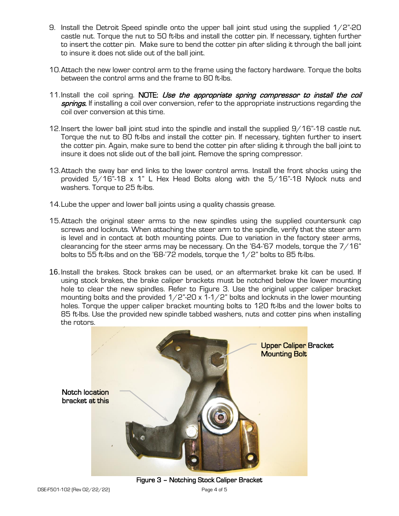- 9. Install the Detroit Speed spindle onto the upper ball joint stud using the supplied 1/2"-20 castle nut. Torque the nut to 50 ft-lbs and install the cotter pin. If necessary, tighten further to insert the cotter pin. Make sure to bend the cotter pin after sliding it through the ball joint to insure it does not slide out of the ball joint.
- 10.Attach the new lower control arm to the frame using the factory hardware. Torque the bolts between the control arms and the frame to 80 ft-lbs.
- 11. Install the coil spring. NOTE: Use the appropriate spring compressor to install the coil springs. If installing a coil over conversion, refer to the appropriate instructions regarding the coil over conversion at this time.
- 12.Insert the lower ball joint stud into the spindle and install the supplied 9/16"-18 castle nut. Torque the nut to 80 ft-lbs and install the cotter pin. If necessary, tighten further to insert the cotter pin. Again, make sure to bend the cotter pin after sliding it through the ball joint to insure it does not slide out of the ball joint. Remove the spring compressor.
- 13.Attach the sway bar end links to the lower control arms. Install the front shocks using the provided 5/16"-18 x 1" L Hex Head Bolts along with the 5/16"-18 Nylock nuts and washers. Torque to 25 ft-lbs.
- 14.Lube the upper and lower ball joints using a quality chassis grease.
- 15.Attach the original steer arms to the new spindles using the supplied countersunk cap screws and locknuts. When attaching the steer arm to the spindle, verify that the steer arm is level and in contact at both mounting points. Due to variation in the factory steer arms, clearancing for the steer arms may be necessary. On the '64-'67 models, torque the 7/16" bolts to 55 ft-lbs and on the '68-'72 models, torque the 1/2" bolts to 85 ft-lbs.
- 16.Install the brakes. Stock brakes can be used, or an aftermarket brake kit can be used. If using stock brakes, the brake caliper brackets must be notched below the lower mounting hole to clear the new spindles. Refer to Figure 3. Use the original upper caliper bracket mounting bolts and the provided  $1/2$ "-20 x 1-1/2" bolts and locknuts in the lower mounting holes. Torque the upper caliper bracket mounting bolts to 120 ft-lbs and the lower bolts to 85 ft-lbs. Use the provided new spindle tabbed washers, nuts and cotter pins when installing the rotors.



Figure 3 – Notching Stock Caliper Bracket